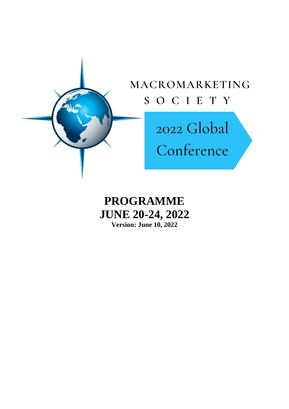

**PROGRAMME JUNE 20-24, 2022 Version: June 10, 2022**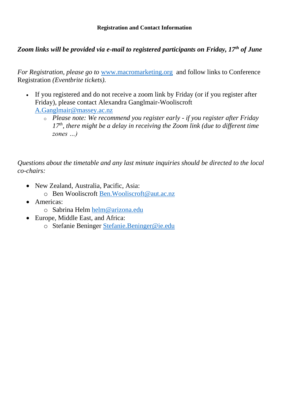# *Zoom links will be provided via e-mail to registered participants on Friday, 17th of June*

*For Registration, please go to* [www.macromarketing.org](https://apc01.safelinks.protection.outlook.com/?url=http%3A%2F%2Fwww.macromarketing.org%2F&data=05%7C01%7Cben.wooliscroft%40aut.ac.nz%7C1ed6c3503a384ac0887608da49a8bafe%7C5e022ca15c044f878db7d588726274e3%7C1%7C0%7C637903286304087639%7CUnknown%7CTWFpbGZsb3d8eyJWIjoiMC4wLjAwMDAiLCJQIjoiV2luMzIiLCJBTiI6Ik1haWwiLCJXVCI6Mn0%3D%7C3000%7C%7C%7C&sdata=SaPTbcP9XVOjDSKWqMjONQKknqGTqjlef71G4M3xgNE%3D&reserved=0) and follow links to Conference Registration *(Eventbrite tickets).*

- If you registered and do not receive a zoom link by Friday (or if you register after Friday), please contact Alexandra Ganglmair-Wooliscroft [A.Ganglmair@massey.ac.nz](mailto:A.Ganglmair@massey.ac.nz)
	- o *Please note: We recommend you register early - if you register after Friday 17th, there might be a delay in receiving the Zoom link (due to different time zones …)*

*Questions about the timetable and any last minute inquiries should be directed to the local co-chairs:*

- New Zealand, Australia, Pacific, Asia:
	- o Ben Wooliscroft [Ben.Wooliscroft@aut.ac.nz](mailto:Ben.Wooliscroft@aut.ac.nz)
- Americas:
	- o Sabrina Helm [helm@arizona.edu](mailto:helm@arizona.edu)
- Europe, Middle East, and Africa:
	- o Stefanie Beninger [Stefanie.Beninger@ie.edu](mailto:Stefanie.Beninger@ie.edu)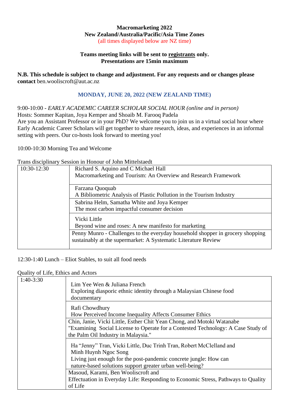#### **Macromarketing 2022 New Zealand/Australia/Pacific/Asia Time Zones** (all times displayed below are NZ time)

#### **Teams meeting links will be sent to registrants only. Presentations are 15min maximum**

**N.B. This schedule is subject to change and adjustment. For any requests and or changes please contact** ben.wooliscroft@aut.ac.nz

#### **MONDAY, JUNE 20, 2022 (NEW ZEALAND TIME)**

#### 9:00-10:00 *- EARLY ACADEMIC CAREER SCHOLAR SOCIAL HOUR (online and in person)*

Hosts: Sommer Kapitan, Joya Kemper and Shoaib M. Farooq Padela

Are you an Assistant Professor or in your PhD? We welcome you to join us in a virtual social hour where Early Academic Career Scholars will get together to share research, ideas, and experiences in an informal setting with peers. Our co-hosts look forward to meeting you!

10:00-10:30 Morning Tea and Welcome

Trans disciplinary Session in Honour of John Mittelstaedt

| 10:30-12:30 | Richard S. Aquino and C Michael Hall                                           |
|-------------|--------------------------------------------------------------------------------|
|             | Macromarketing and Tourism: An Overview and Research Framework                 |
|             | Farzana Quoquab                                                                |
|             | A Bibliometric Analysis of Plastic Pollution in the Tourism Industry           |
|             | Sabrina Helm, Samatha White and Joya Kemper                                    |
|             | The most carbon impactful consumer decision                                    |
|             | Vicki Little                                                                   |
|             | Beyond wine and roses: A new manifesto for marketing                           |
|             | Penny Munro - Challenges to the everyday household shopper in grocery shopping |
|             | sustainably at the supermarket: A Systematic Literature Review                 |
|             |                                                                                |

12:30-1:40 Lunch – Eliot Stables, to suit all food needs

Quality of Life, Ethics and Actors

| $1:40-3:30$ | Lim Yee Wen & Juliana French<br>Exploring diasporic ethnic identity through a Malaysian Chinese food<br>documentary                                               |
|-------------|-------------------------------------------------------------------------------------------------------------------------------------------------------------------|
|             | Rafi Chowdhury<br>How Perceived Income Inequality Affects Consumer Ethics                                                                                         |
|             | Chin, Janie, Vicki Little, Esther Chit Yean Chong, and Motoki Watanabe                                                                                            |
|             | "Examining Social License to Operate for a Contested Technology: A Case Study of                                                                                  |
|             | the Palm Oil Industry in Malaysia."                                                                                                                               |
|             | Ha "Jenny" Tran, Vicki Little, Duc Trinh Tran, Robert McClelland and<br>Minh Huynh Ngoc Song<br>Living just enough for the post-pandemic concrete jungle: How can |
|             | nature-based solutions support greater urban well-being?                                                                                                          |
|             | Masoud, Karami, Ben Wooliscroft and                                                                                                                               |
|             | Effectuation in Everyday Life: Responding to Economic Stress, Pathways to Quality                                                                                 |
|             | of Life                                                                                                                                                           |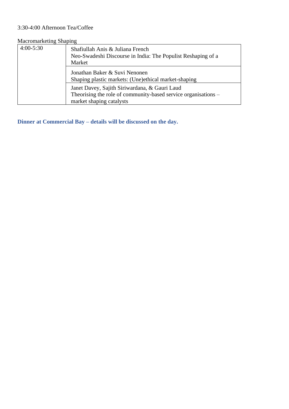# 3:30-4:00 Afternoon Tea/Coffee

# Macromarketing Shaping

| $4:00-5:30$ | Shafiullah Anis & Juliana French<br>Neo-Swadeshi Discourse in India: The Populist Reshaping of a<br>Market                                  |
|-------------|---------------------------------------------------------------------------------------------------------------------------------------------|
|             | Jonathan Baker & Suvi Nenonen<br>Shaping plastic markets: (Une)ethical market-shaping                                                       |
|             | Janet Davey, Sajith Siriwardana, & Gauri Laud<br>Theorising the role of community-based service organisations –<br>market shaping catalysts |

**Dinner at Commercial Bay – details will be discussed on the day.**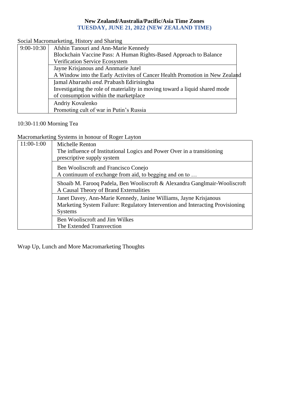#### **New Zealand/Australia/Pacific/Asia Time Zones TUESDAY, JUNE 21, 2022 (NEW ZEALAND TIME)**

Social Macromarketing, History and Sharing

| Afshin Tanouri and Ann-Marie Kennedy                                        |
|-----------------------------------------------------------------------------|
| Blockchain Vaccine Pass: A Human Rights-Based Approach to Balance           |
| Verification Service Ecosystem                                              |
| Jayne Krisjanous and Annmarie Jutel                                         |
| A Window into the Early Activites of Cancer Health Promotion in New Zealand |
| Jamal Abarashi and. Prabash Edirisingha                                     |
| Investigating the role of materiality in moving toward a liquid shared mode |
| of consumption within the marketplace                                       |
| Andriy Kovalenko                                                            |
| Promoting cult of war in Putin's Russia                                     |
|                                                                             |

# 10:30-11:00 Morning Tea

Macromarketing Systems in honour of Roger Layton

| 11:00-1:00 | Michelle Renton<br>The influence of Institutional Logics and Power Over in a transitioning<br>prescriptive supply system                                              |
|------------|-----------------------------------------------------------------------------------------------------------------------------------------------------------------------|
|            | Ben Wooliscroft and Francisco Conejo<br>A continuum of exchange from aid, to begging and on to                                                                        |
|            | Shoaib M. Farooq Padela, Ben Wooliscroft & Alexandra Ganglmair-Wooliscroft<br>A Causal Theory of Brand Externalities                                                  |
|            | Janet Davey, Ann-Marie Kennedy, Janine Williams, Jayne Krisjanous<br>Marketing System Failure: Regulatory Intervention and Interacting Provisioning<br><b>Systems</b> |
|            | Ben Wooliscroft and Jim Wilkes<br>The Extended Transvection                                                                                                           |

Wrap Up, Lunch and More Macromarketing Thoughts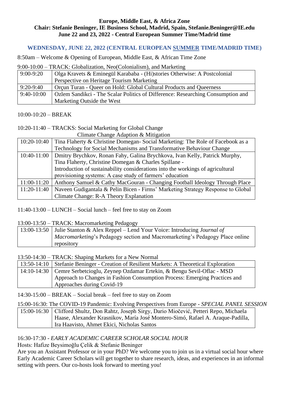#### **Europe, Middle East, & Africa Zone Chair: Stefanie Beninger, IE Business School, Madrid, Spain, Stefanie.Beninger@IE.edu June 22 and 23, 2022 - Central European Summer Time/Madrid time**

# **WEDNESDAY, JUNE 22, 2022 (CENTRAL EUROPEAN SUMMER TIME/MADRID TIME)**

8:50am – Welcome & Opening of European, Middle East, & African Time Zone

9:00-10:00 – TRACK: Globalization, Neo(Colonialism), and Marketing

| $9:00-9:20$  | Olga Kravets & Eminegül Karababa - (Hi)stories Otherwise: A Postcolonial        |
|--------------|---------------------------------------------------------------------------------|
|              | Perspective on Heritage Tourism Marketing                                       |
| $9:20-9:40$  | Orçun Turan - Queer on Hold: Global Cultural Products and Queerness             |
| $9:40-10:00$ | Ozlem Sandikci - The Scalar Politics of Difference: Researching Consumption and |
|              | Marketing Outside the West                                                      |

# 10:00-10:20 – BREAK

# 10:20-11:40 – TRACKS: Social Marketing for Global Change

Climate Change Adaption & Mitigation

| 10:20-10:40 | Tina Flaherty & Christine Domegan-Social Marketing: The Role of Facebook as a            |
|-------------|------------------------------------------------------------------------------------------|
|             | Technology for Social Mechanisms and Transformative Behaviour Change                     |
|             | 10:40-11:00   Dmitry Brychkov, Ronan Fahy, Galina Brychkova, Ivan Kelly, Patrick Murphy, |
|             | Tina Flaherty, Christine Domegan & Charles Spillane -                                    |
|             | Introduction of sustainability considerations into the workings of agricultural          |
|             | provisioning systems: A case study of farmers' education                                 |
| 11:00-11:20 | Anthony Samuel & Cathy MacGouran - Changing Football Ideology Through Place              |
| 11:20-11:40 | Naveen Gudigantala & Pelin Bicen - Firms' Marketing Strategy Response to Global          |
|             | Climate Change: R-A Theory Explanation                                                   |
|             |                                                                                          |

11:40-13:00 – LUNCH – Social lunch – feel free to stay on Zoom

13:00-13:50 – TRACK: Macromarketing Pedagogy

| 13:00-13:50 Julie Stanton & Alex Reppel – Lend Your Voice: Introducing Journal of   |
|-------------------------------------------------------------------------------------|
| <i>Macromarketing's</i> Pedagogy section and Macromarketing's Pedagogy Place online |
| repository                                                                          |

13:50-14:30 – TRACK: Shaping Markets for a New Normal

| 13:50-14:10 Stefanie Beninger - Creation of Resilient Markets: A Theoretical Exploration |
|------------------------------------------------------------------------------------------|
| 14:10-14:30   Cemre Serbetcioglu, Zeynep Ozdamar Ertekin, & Bengu Sevil-Oflac - MSD      |
| Approach to Changes in Fashion Consumption Process: Emerging Practices and               |
| Approaches during Covid-19                                                               |

14:30-15:00 – BREAK – Social break – feel free to stay on Zoom

15:00-16:30: The COVID-19 Pandemic: Evolving Perspectives from Europe - *SPECIAL PANEL SESSION* 15:00-16:30 Clifford Shultz, Don Rahtz, Joseph Sirgy, Dario Miočević, Petteri Repo, Michaela Haase, Alexander Krasnikov, María José Montero-Simó, Rafael A. Araque-Padilla, Ira Haavisto, Ahmet Ekici, Nicholas Santos

# 16:30-17:30 *- EARLY ACADEMIC CAREER SCHOLAR SOCIAL HOUR*

Hosts: Hafize Beysimoğlu Çelik & Stefanie Beninger

Are you an Assistant Professor or in your PhD? We welcome you to join us in a virtual social hour where Early Academic Career Scholars will get together to share research, ideas, and experiences in an informal setting with peers. Our co-hosts look forward to meeting you!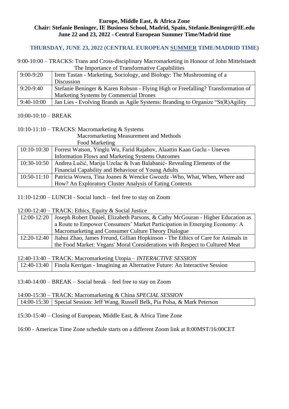#### **Europe, Middle East, & Africa Zone Chair: Stefanie Beninger, IE Business School, Madrid, Spain, Stefanie.Beninger@IE.edu June 22 and 23, 2022 - Central European Summer Time/Madrid time**

# **THURSDAY, JUNE 23, 2022 (CENTRAL EUROPEAN SUMMER TIME/MADRID TIME)**

9:00-10:00 – TRACKS: Trans and Cross-disciplinary Macromarketing in Honour of John Mittelstaedt The Importance of Transformative Capabilities

| $9:00-9:20$  | Irem Tastan - Marketing, Sociology, and Biology: The Mushrooming of a            |
|--------------|----------------------------------------------------------------------------------|
|              | Discussion                                                                       |
| $9:20-9:40$  | Stefanie Beninger & Karen Robson - Flying High or Freefalling? Transformation of |
|              | Marketing Systems by Commercial Drones                                           |
| $9:40-10:00$ | Jan Lies - Evolving Brands as Agile Systems: Branding to Organize "St(R)Agility  |

### 10:00-10:10 – BREAK

#### 10:10-11:10 – TRACKS: Macromarketing & Systems

Macromarketing Measurement and Methods

Food Marketing

| 10:10-10:30   Forrest Watson, Yinglu Wu, Farid Rajabov, Alaattin Kaan Guclu - Uneven   |  |
|----------------------------------------------------------------------------------------|--|
| <b>Information Flows and Marketing Systems Outcomes</b>                                |  |
| 10:30-10:50   Andrea Lučić, Marija Uzelac & Ivan Balabanić- Revealing Elements of the  |  |
| Financial Capability and Behaviour of Young Adults                                     |  |
| 10:50-11:10   Patricia Wowra, Tina Joanes & Wencke Gwozdz - Who, What, When, Where and |  |
| How? An Exploratory Cluster Analysis of Eating Contexts                                |  |

11:10-12:00 – LUNCH - Social lunch – feel free to stay on Zoom

12:00-12:40 – TRACK: Ethics, Equity & Social Justice

| 12:00-12:20   | Joseph Robert Daniel, Elizabeth Parsons, & Cathy McGouran - Higher Education as  |
|---------------|----------------------------------------------------------------------------------|
|               | a Route to Empower Consumers' Market Participation in Emerging Economy: A        |
|               | Macromarketing and Consumer Culture Theory Dialogue                              |
| $12:20-12:40$ | Jiahui Zhao, James Freund, Gillian Hopkinson - The Ethics of Care for Animals in |
|               | the Food Market: Vegans' Moral Considerations with Respect to Cultured Meat      |

12:40-13:40 – TRACK: Macromarketing Utopia – *INTERACTIVE SESSION*

13:40-14:00 – BREAK – Social break – feel free to stay on Zoom

14:00-15:30 – TRACK: Macromarketing & China *SPECIAL SESSION* | 14:00-15:30 Special Session: Jeff Wang, Russell Belk, Pia Polsa, & Mark Peterson

15:30-15:40 – Closing of European, Middle East, & Africa Time Zone

16:00 - Americas Time Zone schedule starts on a different Zoom link at 8:00MST/16:00CET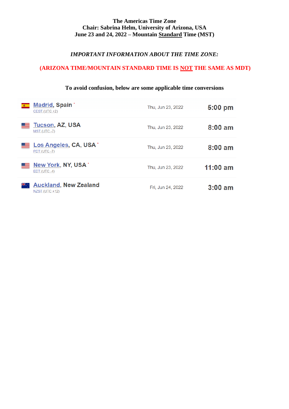### **The Americas Time Zone Chair: Sabrina Helm, University of Arizona, USA June 23 and 24, 2022 – Mountain Standard Time (MST)**

### *IMPORTANT INFORMATION ABOUT THE TIME ZONE:*

# **(ARIZONA TIME/MOUNTAIN STANDARD TIME IS NOT THE SAME AS MDT)**

| <b>Madrid, Spain</b> *<br>$CEST (UTC +2)$             | Thu, Jun 23, 2022 | $5:00$ pm  |
|-------------------------------------------------------|-------------------|------------|
| <b>Tucson, AZ, USA</b><br>MST (UTC-7)                 | Thu, Jun 23, 2022 | $8:00$ am  |
| Los Angeles, CA, USA <sup>*</sup><br>PDT (UTC-7)      | Thu, Jun 23, 2022 | $8:00$ am  |
| New York, NY, USA*<br>EDT (UTC-4)                     | Thu, Jun 23, 2022 | $11:00$ am |
| <b>Auckland, New Zealand</b><br>¥¥∴<br>NZST (UTC +12) | Fri, Jun 24, 2022 | $3:00$ am  |

# **To avoid confusion, below are some applicable time conversions**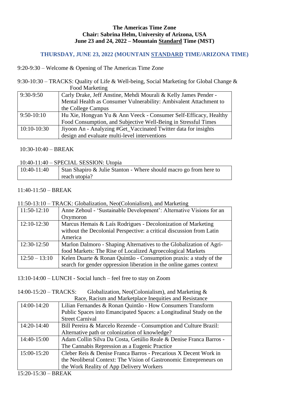#### **The Americas Time Zone Chair: Sabrina Helm, University of Arizona, USA June 23 and 24, 2022 – Mountain Standard Time (MST)**

# **THURSDAY, JUNE 23, 2022 (MOUNTAIN STANDARD TIME/ARIZONA TIME)**

9:20-9:30 – Welcome & Opening of The Americas Time Zone

9:30-10:30 – TRACKS: Quality of Life & Well-being, Social Marketing for Global Change & Food Marketing

| $1000$ $\mu$ $\mu$ $\mu$ |                                                                   |
|--------------------------|-------------------------------------------------------------------|
| $9:30-9:50$              | Carly Drake, Jeff Anstine, Mehdi Mourali & Kelly James Pender -   |
|                          | Mental Health as Consumer Vulnerability: Ambivalent Attachment to |
|                          | the College Campus                                                |
| $9:50-10:10$             | Hu Xie, Hongyan Yu & Ann Veeck - Consumer Self-Efficacy, Healthy  |
|                          | Food Consumption, and Subjective Well-Being in Stressful Times    |
| 10:10-10:30              | Jiyoon An - Analyzing #Get_Vaccinated Twitter data for insights   |
|                          | design and evaluate multi-level interventions                     |

10:30-10:40 – BREAK

10:40-11:40 – SPECIAL SESSION: Utopia

| $ 10:40-11:40 $ | Stan Shapiro & Julie Stanton - Where should macro go from here to |
|-----------------|-------------------------------------------------------------------|
|                 | reach utopia?                                                     |

#### 11:40-11:50 – BREAK

11:50-13:10 – TRACK: Globalization, Neo(Colonialism), and Marketing

| $11:50-12:10$   | Anne Zehoul - 'Sustainable Development': Alternative Visions for an  |
|-----------------|----------------------------------------------------------------------|
|                 | Oxymoron                                                             |
| $12:10-12:30$   | Marcus Hemais & Laís Rodrigues - Decolonization of Marketing         |
|                 | without the Decolonial Perspective: a critical discussion from Latin |
|                 | America                                                              |
| 12:30-12:50     | Marlon Dalmoro - Shaping Alternatives to the Globalization of Agri-  |
|                 | food Markets: The Rise of Localized Agroecological Markets           |
| $12:50 - 13:10$ | Kelen Duarte & Ronan Quintão - Consumption praxis: a study of the    |
|                 | search for gender oppression liberation in the online games context  |

13:10-14:00 – LUNCH - Social lunch – feel free to stay on Zoom

14:00-15:20 – TRACKS: Globalization, Neo(Colonialism), and Marketing & Race, Racism and Marketplace Inequities and Resistance

| 14:00-14:20 | Lilian Fernandes & Ronan Quintão - How Consumers Transform         |
|-------------|--------------------------------------------------------------------|
|             | Public Spaces into Emancipated Spaces: a Longitudinal Study on the |
|             | <b>Street Carnival</b>                                             |
| 14:20-14:40 | Bill Pereira & Marcelo Rezende - Consumption and Culture Brazil:   |
|             | Alternative path or colonization of knowledge?                     |
| 14:40-15:00 | Adam Collin Silva Da Costa, Getúlio Reale & Denise Franca Barros - |
|             | The Cannabis Repression as a Eugenic Practice                      |
| 15:00-15:20 | Cleber Reis & Denise Franca Barros - Precarious X Decent Work in   |
|             | the Neoliberal Context: The Vision of Gastronomic Entrepreneurs on |
|             | the Work Reality of App Delivery Workers                           |

15:20-15:30 – BREAK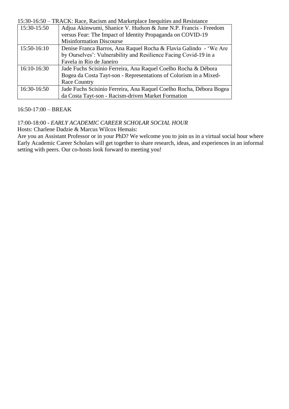15:30-16:50 – TRACK: Race, Racism and Marketplace Inequities and Resistance

| 15:30-15:50 | Adjua Akinwumi, Shanice V. Hudson & June N.P. Francis - Freedom     |
|-------------|---------------------------------------------------------------------|
|             | versus Fear: The Impact of Identity Propaganda on COVID-19          |
|             | <b>Misinformation Discourse</b>                                     |
| 15:50-16:10 | Denise Franca Barros, Ana Raquel Rocha & Flavia Galindo - 'We Are   |
|             | by Ourselves': Vulnerability and Resilience Facing Covid-19 in a    |
|             | Favela in Rio de Janeiro                                            |
| 16:10-16:30 | Jade Fuchs Scisinio Ferreira, Ana Raquel Coelho Rocha & Débora      |
|             | Bogea da Costa Tayt-son - Representations of Colorism in a Mixed-   |
|             | <b>Race Country</b>                                                 |
| 16:30-16:50 | Jade Fuchs Scisinio Ferreira, Ana Raquel Coelho Rocha, Débora Bogea |
|             | da Costa Tayt-son - Racism-driven Market Formation                  |

### 16:50-17:00 – BREAK

### 17:00-18:00 *- EARLY ACADEMIC CAREER SCHOLAR SOCIAL HOUR*

Hosts: Charlene Dadzie & Marcus Wilcox Hemais:

Are you an Assistant Professor or in your PhD? We welcome you to join us in a virtual social hour where Early Academic Career Scholars will get together to share research, ideas, and experiences in an informal setting with peers. Our co-hosts look forward to meeting you!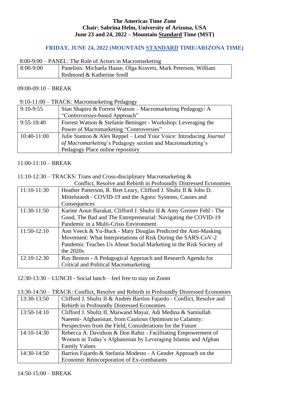#### **The Americas Time Zone Chair: Sabrina Helm, University of Arizona, USA June 23 and 24, 2022 – Mountain Standard Time (MST)**

### **FRIDAY, JUNE 24, 2022 (MOUNTAIN STANDARD TIME/ARIZONA TIME)**

#### 8:00-9:00 – PANEL: The Role of Actors in Macromarketing

| $8:00-9:00$ | Panelists: Michaela Haase, Olga Kravets, Mark Peterson, William |
|-------------|-----------------------------------------------------------------|
|             | Redmond & Katherine Sredl                                       |

#### 09:00-09:10 – BREAK

9:10-11:00 – TRACK: Macromarketing Pedagogy

| $9:10-9:55$  | Stan Shapiro & Forrest Watson - Macromarketing Pedagogy: A                |
|--------------|---------------------------------------------------------------------------|
|              | "Controversies-based Approach"                                            |
| $9:55-10:40$ | Forrest Watson & Stefanie Beninger - Workshop: Leveraging the             |
|              | Power of Macromarketing "Controversies"                                   |
| 10:40-11:00  | Julie Stanton & Alex Reppel – Lend Your Voice: Introducing <i>Journal</i> |
|              | of Macromarketing's Pedagogy section and Macromarketing's                 |
|              | Pedagogy Place online repository                                          |

11:00-11:10 – BREAK

#### 11:10-12:30 – TRACKS: Trans and Cross-disciplinary Macromarketing &

| Conflict, Resolve and Rebirth in Profoundly Distressed Economies |                                                                     |
|------------------------------------------------------------------|---------------------------------------------------------------------|
| $11:10-11:30$                                                    | Heather Patterson, R. Bret Leary, Clifford J. Shultz II & John D.   |
|                                                                  | Mittelstaedt - COVID-19 and the Agora: Systems, Causes and          |
|                                                                  | Consequences                                                        |
| 11:30-11:50                                                      | Karine Aoun Barakat, Clifford J. Shultz II & Amy Greiner Fehl - The |
|                                                                  | Good, The Bad and The Entrepreneurial: Navigating the COVID-19      |
|                                                                  | Pandemic in a Multi-Crisis Environment                              |
| $11:50-12:10$                                                    | Ann Veeck & Yu-Buck - Mary Douglas Predicted the Anti-Masking       |
|                                                                  | Movement: What Interpretations of Risk During the SARS-CoV-2        |
|                                                                  | Pandemic Teaches Us About Social Marketing in the Risk Society of   |
|                                                                  | the $2020s$                                                         |
| $12:10-12:30$                                                    | Ray Benton - A Pedagogical Approach and Research Agenda for         |
|                                                                  | Critical and Political Macromarketing                               |

12:30-13:30 – LUNCH - Social lunch – feel free to stay on Zoom

13:30-14:50 – TRACK: Conflict, Resolve and Rebirth in Profoundly Distressed Economies

| 13:30-13:50   | Clifford J. Shultz II & Andrés Barrios Fajardo - Conflict, Resolve and |
|---------------|------------------------------------------------------------------------|
|               | Rebirth in Profoundly Distressed Economies                             |
| 13:50-14:10   | Clifford J. Shultz II, Maiwand Mayar, Adi Medina & Samiullah           |
|               | Naeemi- Afghanistan, from Cautious Optimism to Calamity:               |
|               | Perspectives from the Field, Considerations for the Future             |
| $14:10-14:30$ | Rebecca A. Davidson & Don Rahtz - Facilitating Empowerment of          |
|               | Women in Today's Afghanistan by Leveraging Islamic and Afghan          |
|               | <b>Family Values</b>                                                   |
| 14:30-14:50   | Barrios Fajardo & Stefania Modesto - A Gender Approach on the          |
|               | Economic Reincorporation of Ex-combatants                              |

14:50-15:00 – BREAK